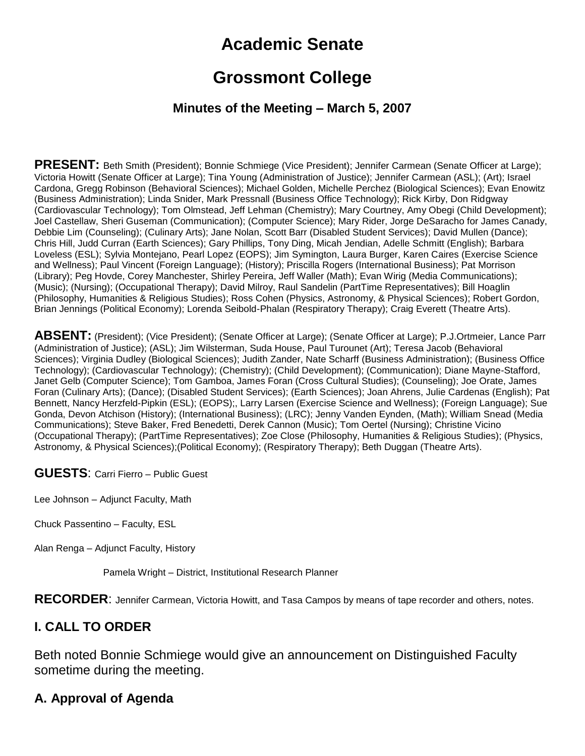# **Academic Senate**

## **Grossmont College**

#### **Minutes of the Meeting – March 5, 2007**

**PRESENT:** Beth Smith (President); Bonnie Schmiege (Vice President); Jennifer Carmean (Senate Officer at Large); Victoria Howitt (Senate Officer at Large); Tina Young (Administration of Justice); Jennifer Carmean (ASL); (Art); Israel Cardona, Gregg Robinson (Behavioral Sciences); Michael Golden, Michelle Perchez (Biological Sciences); Evan Enowitz (Business Administration); Linda Snider, Mark Pressnall (Business Office Technology); Rick Kirby, Don Ridgway (Cardiovascular Technology); Tom Olmstead, Jeff Lehman (Chemistry); Mary Courtney, Amy Obegi (Child Development); Joel Castellaw, Sheri Guseman (Communication); (Computer Science); Mary Rider, Jorge DeSaracho for James Canady, Debbie Lim (Counseling); (Culinary Arts); Jane Nolan, Scott Barr (Disabled Student Services); David Mullen (Dance); Chris Hill, Judd Curran (Earth Sciences); Gary Phillips, Tony Ding, Micah Jendian, Adelle Schmitt (English); Barbara Loveless (ESL); Sylvia Montejano, Pearl Lopez (EOPS); Jim Symington, Laura Burger, Karen Caires (Exercise Science and Wellness); Paul Vincent (Foreign Language); (History); Priscilla Rogers (International Business); Pat Morrison (Library); Peg Hovde, Corey Manchester, Shirley Pereira, Jeff Waller (Math); Evan Wirig (Media Communications); (Music); (Nursing); (Occupational Therapy); David Milroy, Raul Sandelin (PartTime Representatives); Bill Hoaglin (Philosophy, Humanities & Religious Studies); Ross Cohen (Physics, Astronomy, & Physical Sciences); Robert Gordon, Brian Jennings (Political Economy); Lorenda Seibold-Phalan (Respiratory Therapy); Craig Everett (Theatre Arts).

**ABSENT:** (President); (Vice President); (Senate Officer at Large); (Senate Officer at Large); P.J.Ortmeier, Lance Parr (Administration of Justice); (ASL); Jim Wilsterman, Suda House, Paul Turounet (Art); Teresa Jacob (Behavioral Sciences); Virginia Dudley (Biological Sciences); Judith Zander, Nate Scharff (Business Administration); (Business Office Technology); (Cardiovascular Technology); (Chemistry); (Child Development); (Communication); Diane Mayne-Stafford, Janet Gelb (Computer Science); Tom Gamboa, James Foran (Cross Cultural Studies); (Counseling); Joe Orate, James Foran (Culinary Arts); (Dance); (Disabled Student Services); (Earth Sciences); Joan Ahrens, Julie Cardenas (English); Pat Bennett, Nancy Herzfeld-Pipkin (ESL); (EOPS);, Larry Larsen (Exercise Science and Wellness); (Foreign Language); Sue Gonda, Devon Atchison (History); (International Business); (LRC); Jenny Vanden Eynden, (Math); William Snead (Media Communications); Steve Baker, Fred Benedetti, Derek Cannon (Music); Tom Oertel (Nursing); Christine Vicino (Occupational Therapy); (PartTime Representatives); Zoe Close (Philosophy, Humanities & Religious Studies); (Physics, Astronomy, & Physical Sciences);(Political Economy); (Respiratory Therapy); Beth Duggan (Theatre Arts).

**GUESTS**: Carri Fierro – Public Guest

Lee Johnson – Adjunct Faculty, Math

Chuck Passentino – Faculty, ESL

Alan Renga – Adjunct Faculty, History

Pamela Wright – District, Institutional Research Planner

**RECORDER**: Jennifer Carmean, Victoria Howitt, and Tasa Campos by means of tape recorder and others, notes.

#### **I. CALL TO ORDER**

Beth noted Bonnie Schmiege would give an announcement on Distinguished Faculty sometime during the meeting.

#### **A. Approval of Agenda**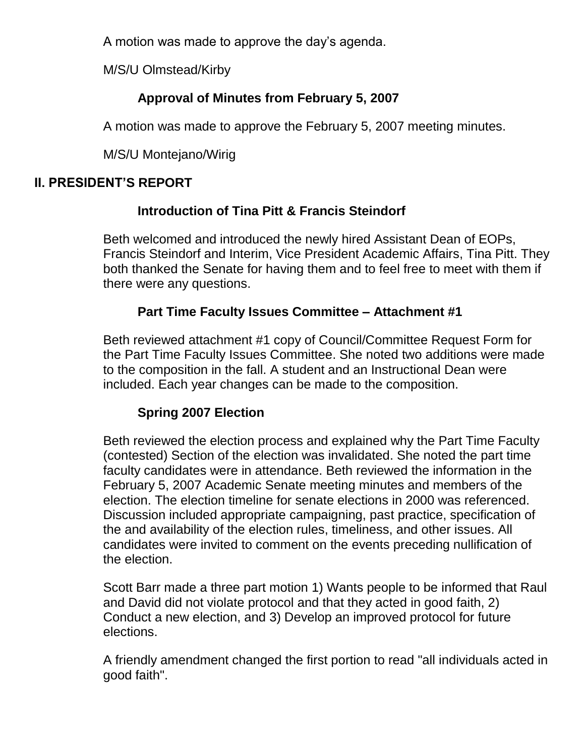A motion was made to approve the day's agenda.

M/S/U Olmstead/Kirby

## **Approval of Minutes from February 5, 2007**

A motion was made to approve the February 5, 2007 meeting minutes.

M/S/U Montejano/Wirig

## **II. PRESIDENT'S REPORT**

## **Introduction of Tina Pitt & Francis Steindorf**

Beth welcomed and introduced the newly hired Assistant Dean of EOPs, Francis Steindorf and Interim, Vice President Academic Affairs, Tina Pitt. They both thanked the Senate for having them and to feel free to meet with them if there were any questions.

## **Part Time Faculty Issues Committee – Attachment #1**

Beth reviewed attachment #1 copy of Council/Committee Request Form for the Part Time Faculty Issues Committee. She noted two additions were made to the composition in the fall. A student and an Instructional Dean were included. Each year changes can be made to the composition.

## **Spring 2007 Election**

Beth reviewed the election process and explained why the Part Time Faculty (contested) Section of the election was invalidated. She noted the part time faculty candidates were in attendance. Beth reviewed the information in the February 5, 2007 Academic Senate meeting minutes and members of the election. The election timeline for senate elections in 2000 was referenced. Discussion included appropriate campaigning, past practice, specification of the and availability of the election rules, timeliness, and other issues. All candidates were invited to comment on the events preceding nullification of the election.

Scott Barr made a three part motion 1) Wants people to be informed that Raul and David did not violate protocol and that they acted in good faith, 2) Conduct a new election, and 3) Develop an improved protocol for future elections.

A friendly amendment changed the first portion to read "all individuals acted in good faith".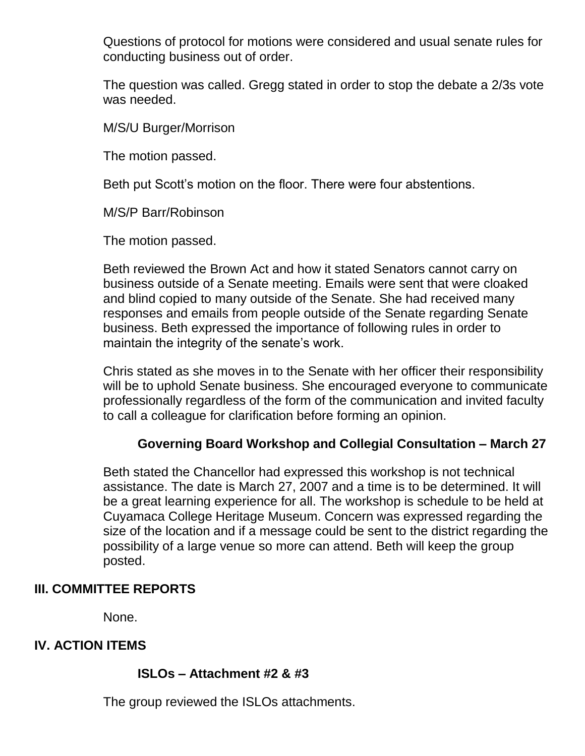Questions of protocol for motions were considered and usual senate rules for conducting business out of order.

The question was called. Gregg stated in order to stop the debate a 2/3s vote was needed.

M/S/U Burger/Morrison

The motion passed.

Beth put Scott's motion on the floor. There were four abstentions.

M/S/P Barr/Robinson

The motion passed.

Beth reviewed the Brown Act and how it stated Senators cannot carry on business outside of a Senate meeting. Emails were sent that were cloaked and blind copied to many outside of the Senate. She had received many responses and emails from people outside of the Senate regarding Senate business. Beth expressed the importance of following rules in order to maintain the integrity of the senate's work.

Chris stated as she moves in to the Senate with her officer their responsibility will be to uphold Senate business. She encouraged everyone to communicate professionally regardless of the form of the communication and invited faculty to call a colleague for clarification before forming an opinion.

#### **Governing Board Workshop and Collegial Consultation – March 27**

Beth stated the Chancellor had expressed this workshop is not technical assistance. The date is March 27, 2007 and a time is to be determined. It will be a great learning experience for all. The workshop is schedule to be held at Cuyamaca College Heritage Museum. Concern was expressed regarding the size of the location and if a message could be sent to the district regarding the possibility of a large venue so more can attend. Beth will keep the group posted.

#### **III. COMMITTEE REPORTS**

None.

#### **IV. ACTION ITEMS**

#### **ISLOs – Attachment #2 & #3**

The group reviewed the ISLOs attachments.